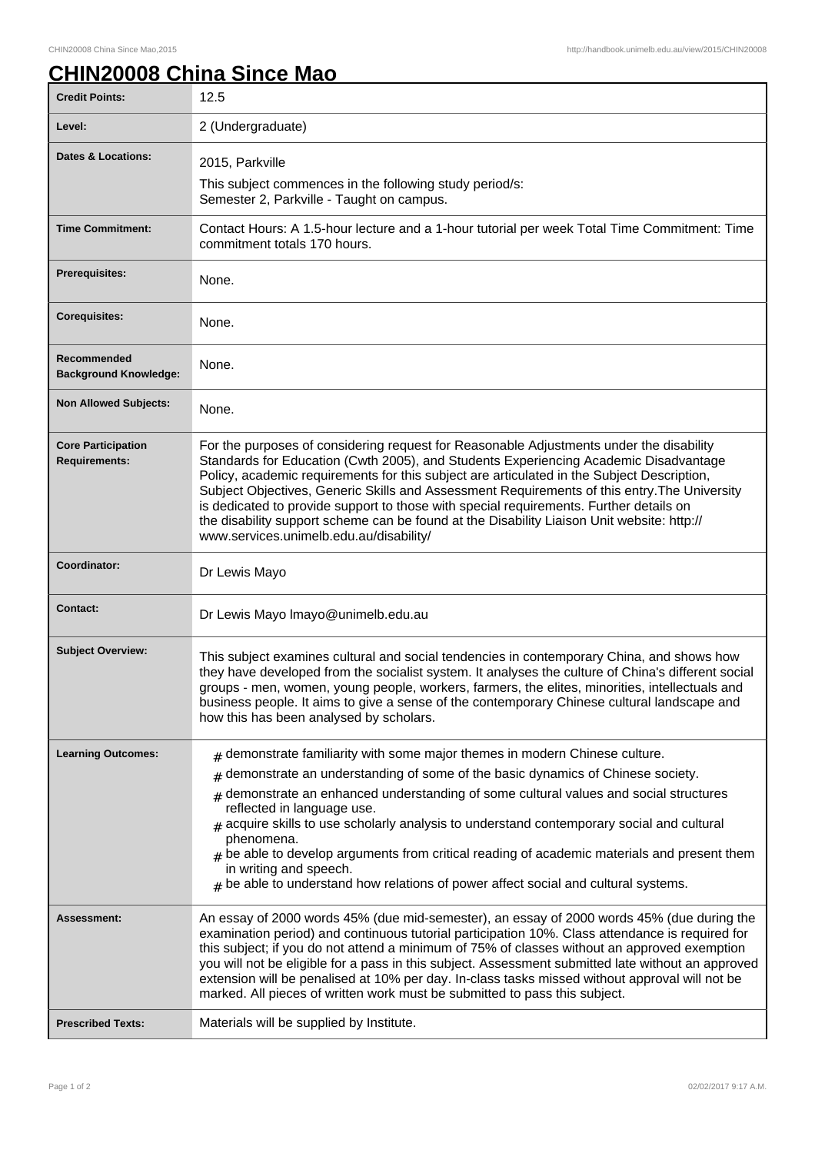## **CHIN20008 China Since Mao**

| <b>Credit Points:</b>                             | 12.5                                                                                                                                                                                                                                                                                                                                                                                                                                                                                                                                                                                                             |
|---------------------------------------------------|------------------------------------------------------------------------------------------------------------------------------------------------------------------------------------------------------------------------------------------------------------------------------------------------------------------------------------------------------------------------------------------------------------------------------------------------------------------------------------------------------------------------------------------------------------------------------------------------------------------|
| Level:                                            | 2 (Undergraduate)                                                                                                                                                                                                                                                                                                                                                                                                                                                                                                                                                                                                |
| <b>Dates &amp; Locations:</b>                     | 2015, Parkville                                                                                                                                                                                                                                                                                                                                                                                                                                                                                                                                                                                                  |
|                                                   | This subject commences in the following study period/s:<br>Semester 2, Parkville - Taught on campus.                                                                                                                                                                                                                                                                                                                                                                                                                                                                                                             |
| <b>Time Commitment:</b>                           | Contact Hours: A 1.5-hour lecture and a 1-hour tutorial per week Total Time Commitment: Time<br>commitment totals 170 hours.                                                                                                                                                                                                                                                                                                                                                                                                                                                                                     |
| <b>Prerequisites:</b>                             | None.                                                                                                                                                                                                                                                                                                                                                                                                                                                                                                                                                                                                            |
| <b>Corequisites:</b>                              | None.                                                                                                                                                                                                                                                                                                                                                                                                                                                                                                                                                                                                            |
| Recommended<br><b>Background Knowledge:</b>       | None.                                                                                                                                                                                                                                                                                                                                                                                                                                                                                                                                                                                                            |
| <b>Non Allowed Subjects:</b>                      | None.                                                                                                                                                                                                                                                                                                                                                                                                                                                                                                                                                                                                            |
| <b>Core Participation</b><br><b>Requirements:</b> | For the purposes of considering request for Reasonable Adjustments under the disability<br>Standards for Education (Cwth 2005), and Students Experiencing Academic Disadvantage<br>Policy, academic requirements for this subject are articulated in the Subject Description,<br>Subject Objectives, Generic Skills and Assessment Requirements of this entry. The University<br>is dedicated to provide support to those with special requirements. Further details on<br>the disability support scheme can be found at the Disability Liaison Unit website: http://<br>www.services.unimelb.edu.au/disability/ |
| Coordinator:                                      | Dr Lewis Mayo                                                                                                                                                                                                                                                                                                                                                                                                                                                                                                                                                                                                    |
| <b>Contact:</b>                                   | Dr Lewis Mayo Imayo@unimelb.edu.au                                                                                                                                                                                                                                                                                                                                                                                                                                                                                                                                                                               |
| <b>Subject Overview:</b>                          | This subject examines cultural and social tendencies in contemporary China, and shows how<br>they have developed from the socialist system. It analyses the culture of China's different social<br>groups - men, women, young people, workers, farmers, the elites, minorities, intellectuals and<br>business people. It aims to give a sense of the contemporary Chinese cultural landscape and<br>how this has been analysed by scholars.                                                                                                                                                                      |
| <b>Learning Outcomes:</b>                         | $#$ demonstrate familiarity with some major themes in modern Chinese culture.                                                                                                                                                                                                                                                                                                                                                                                                                                                                                                                                    |
|                                                   | demonstrate an understanding of some of the basic dynamics of Chinese society.<br>#                                                                                                                                                                                                                                                                                                                                                                                                                                                                                                                              |
|                                                   | demonstrate an enhanced understanding of some cultural values and social structures<br>reflected in language use.<br>$_{\texttt{\#}}$ acquire skills to use scholarly analysis to understand contemporary social and cultural<br>phenomena.<br>$*$ be able to develop arguments from critical reading of academic materials and present them<br>in writing and speech.<br>$#$ be able to understand how relations of power affect social and cultural systems.                                                                                                                                                   |
| Assessment:                                       | An essay of 2000 words 45% (due mid-semester), an essay of 2000 words 45% (due during the<br>examination period) and continuous tutorial participation 10%. Class attendance is required for<br>this subject; if you do not attend a minimum of 75% of classes without an approved exemption<br>you will not be eligible for a pass in this subject. Assessment submitted late without an approved<br>extension will be penalised at 10% per day. In-class tasks missed without approval will not be<br>marked. All pieces of written work must be submitted to pass this subject.                               |
| <b>Prescribed Texts:</b>                          | Materials will be supplied by Institute.                                                                                                                                                                                                                                                                                                                                                                                                                                                                                                                                                                         |